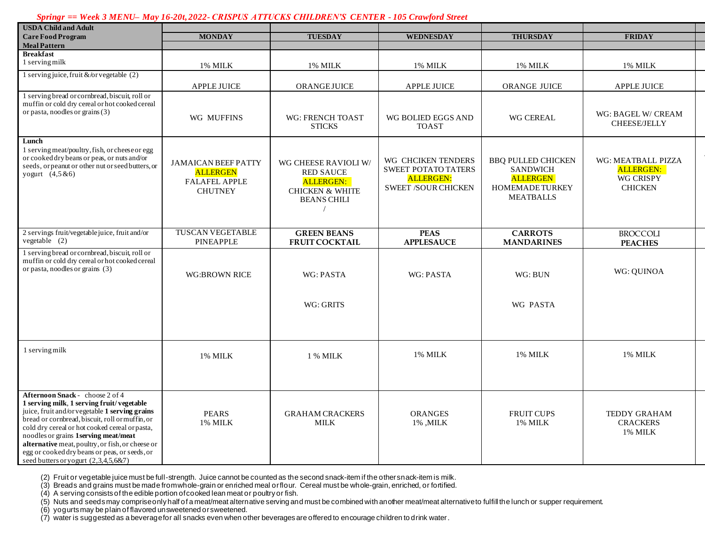## *Springr == Week 3 MENU– May 16-20t, 2022- CRISPUS ATTUCKS CHILDREN'S CENTER - 105 Crawford Street*

| <b>USDA Child and Adult</b>                                                                                                                                                                                                                                                                                                                                                                                              |                                                                                         |                                                                                                           |                                                                                                    |                                                                                                        |                                                                              |
|--------------------------------------------------------------------------------------------------------------------------------------------------------------------------------------------------------------------------------------------------------------------------------------------------------------------------------------------------------------------------------------------------------------------------|-----------------------------------------------------------------------------------------|-----------------------------------------------------------------------------------------------------------|----------------------------------------------------------------------------------------------------|--------------------------------------------------------------------------------------------------------|------------------------------------------------------------------------------|
| <b>Care Food Program</b>                                                                                                                                                                                                                                                                                                                                                                                                 | <b>MONDAY</b>                                                                           | <b>TUESDAY</b>                                                                                            | <b>WEDNESDAY</b>                                                                                   | <b>THURSDAY</b>                                                                                        | <b>FRIDAY</b>                                                                |
| <b>Meal Pattern</b>                                                                                                                                                                                                                                                                                                                                                                                                      |                                                                                         |                                                                                                           |                                                                                                    |                                                                                                        |                                                                              |
| <b>Breakfast</b>                                                                                                                                                                                                                                                                                                                                                                                                         |                                                                                         |                                                                                                           |                                                                                                    |                                                                                                        |                                                                              |
| 1 serving milk                                                                                                                                                                                                                                                                                                                                                                                                           | 1% MILK                                                                                 | 1% MILK                                                                                                   | 1% MILK                                                                                            | 1% MILK                                                                                                | 1% MILK                                                                      |
| 1 serving juice, fruit &/or vegetable (2)                                                                                                                                                                                                                                                                                                                                                                                |                                                                                         |                                                                                                           |                                                                                                    |                                                                                                        |                                                                              |
|                                                                                                                                                                                                                                                                                                                                                                                                                          | APPLE JUICE                                                                             | <b>ORANGEJUICE</b>                                                                                        | <b>APPLE JUICE</b>                                                                                 | ORANGE JUICE                                                                                           | APPLE JUICE                                                                  |
| 1 serving bread or cornbread, biscuit, roll or<br>muffin or cold dry cereal or hot cooked cereal<br>or pasta, noodles or grains (3)                                                                                                                                                                                                                                                                                      | WG MUFFINS                                                                              | <b>WG: FRENCH TOAST</b><br><b>STICKS</b>                                                                  | WG BOLIED EGGS AND<br><b>TOAST</b>                                                                 | WG CEREAL                                                                                              | WG: BAGEL W/ CREAM<br><b>CHEESE/JELLY</b>                                    |
| Lunch<br>1 serving meat/poultry, fish, or cheese or egg<br>or cooked dry beans or peas, or nuts and/or<br>seeds, or peanut or other nut or seed butters, or<br>yogurt $(4,5 \& 6)$                                                                                                                                                                                                                                       | <b>JAMAICAN BEEF PATTY</b><br><b>ALLERGEN</b><br><b>FALAFEL APPLE</b><br><b>CHUTNEY</b> | WG CHEESE RAVIOLI W/<br><b>RED SAUCE</b><br>ALLERGEN:<br><b>CHICKEN &amp; WHITE</b><br><b>BEANS CHILI</b> | WG CHCIKEN TENDERS<br><b>SWEET POTATO TATERS</b><br><b>ALLERGEN:</b><br><b>SWEET /SOUR CHICKEN</b> | <b>BBO PULLED CHICKEN</b><br><b>SANDWICH</b><br><b>ALLERGEN</b><br>HOMEMADE TURKEY<br><b>MEATBALLS</b> | WG: MEATBALL PIZZA<br><b>ALLERGEN:</b><br><b>WG CRISPY</b><br><b>CHICKEN</b> |
| 2 servings fruit/vegetable juice, fruit and/or<br>$vegetable$ (2)                                                                                                                                                                                                                                                                                                                                                        | <b>TUSCAN VEGETABLE</b><br>PINEAPPLE                                                    | <b>GREEN BEANS</b><br><b>FRUIT COCKTAIL</b>                                                               | <b>PEAS</b><br><b>APPLESAUCE</b>                                                                   | <b>CARROTS</b><br><b>MANDARINES</b>                                                                    | <b>BROCCOLI</b><br><b>PEACHES</b>                                            |
| 1 serving bread or cornbread, biscuit, roll or<br>muffin or cold dry cereal or hot cooked cereal<br>or pasta, noodles or grains (3)                                                                                                                                                                                                                                                                                      | <b>WG:BROWN RICE</b>                                                                    | <b>WG: PASTA</b>                                                                                          | <b>WG: PASTA</b>                                                                                   | WG: BUN                                                                                                | WG: QUINOA                                                                   |
|                                                                                                                                                                                                                                                                                                                                                                                                                          |                                                                                         | WG: GRITS                                                                                                 |                                                                                                    | <b>WG PASTA</b>                                                                                        |                                                                              |
| 1 serving milk                                                                                                                                                                                                                                                                                                                                                                                                           | 1% MILK                                                                                 | 1 % MILK                                                                                                  | 1% MILK                                                                                            | 1% MILK                                                                                                | 1% MILK                                                                      |
| Afternoon Snack - choose 2 of 4<br>1 serving milk, 1 serving fruit/vegetable<br>juice, fruit and/or vegetable 1 serving grains<br>bread or cornbread, biscuit, roll or muffin, or<br>cold dry cereal or hot cooked cereal or pasta,<br>noodles or grains 1serving meat/meat<br>alternative meat, poultry, or fish, or cheese or<br>egg or cooked dry beans or peas, or seeds, or<br>seed butters or yogurt (2,3,4,5,6&7) | <b>PEARS</b><br>1% MILK                                                                 | <b>GRAHAM CRACKERS</b><br>MILK                                                                            | <b>ORANGES</b><br>1%, MILK                                                                         | <b>FRUIT CUPS</b><br>1% MILK                                                                           | <b>TEDDY GRAHAM</b><br><b>CRACKERS</b><br>1% MILK                            |

WG: TURKEY PEPPERONI

(2) Fruit or vegetable juice must be full-strength. Juice cannot be counted as the second snack-item if the other snack-item is milk.

(3) Breads and grains must be made from whole-grain or enriched meal or flour. Cereal must be whole-grain, enriched, or fortified.

(4) A serving consists of the edible portion of cooked lean meat or poultry or fish.

(5) Nuts and seeds may comprise only half of a meat/meat alternative serving and must be combined with another meat/meat alternative to fulfill the lunch or supper requirement.

(6) yogurts may be plain of flavored unsweetened or sweetened.

(7) water is suggested as a beverage for all snacks even when other beverages are offered to encourage children to drink water.